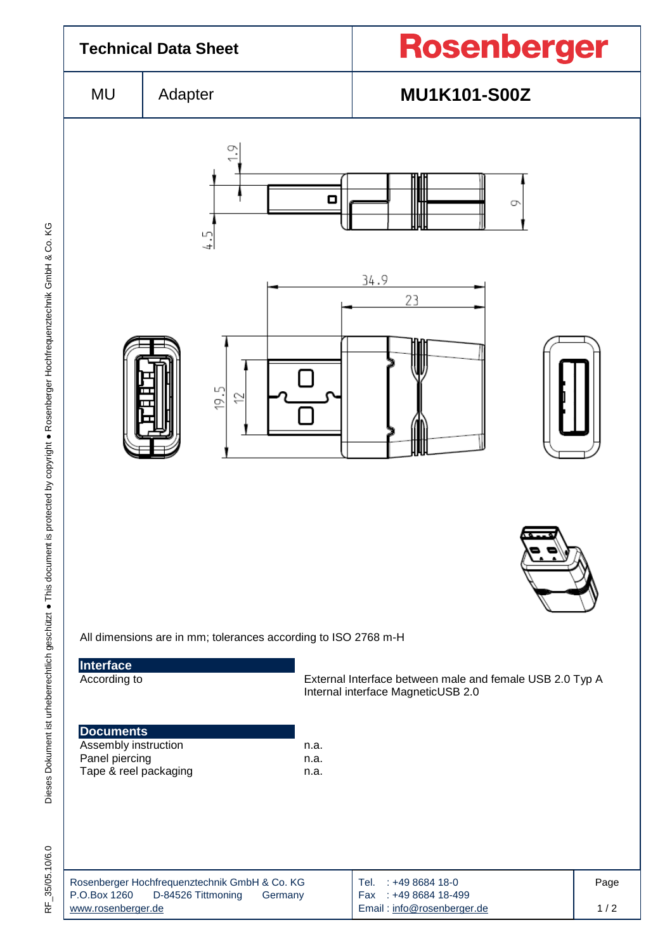

35/05.10/6.0 RF\_35/05.10/6.0 눈